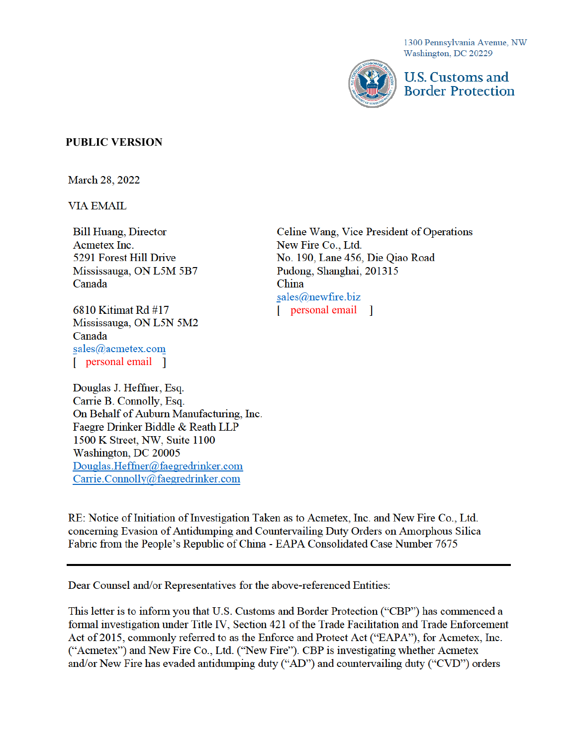1300 Pennsylvania Avenue, NW Washington, DC 20229



U.S. Customs and **Border Protection** 

### **PUBLIC VERSION**

**March 28, 2022** 

**VIA EMAIL** 

**Bill Huang, Director** Acmetex Inc. 5291 Forest Hill Drive Mississauga, ON L5M 5B7 Canada

6810 Kitimat Rd #17 Mississauga, ON L5N 5M2 Canada sales@acmetex.com [ personal email ]

Douglas J. Heffner, Esq. Carrie B. Connolly, Esq. On Behalf of Auburn Manufacturing, Inc. Faegre Drinker Biddle & Reath LLP 1500 K Street, NW, Suite 1100 Washington, DC 20005 Douglas.Heffner@faegredrinker.com Carrie.Connolly@faegredrinker.com

Celine Wang, Vice President of Operations New Fire Co., Ltd. No. 190, Lane 456, Die Qiao Road Pudong, Shanghai, 201315 China sales@newfire.biz [ personal email ]

RE: Notice of Initiation of Investigation Taken as to Acmetex, Inc. and New Fire Co., Ltd. concerning Evasion of Antidumping and Countervailing Duty Orders on Amorphous Silica Fabric from the People's Republic of China - EAPA Consolidated Case Number 7675

Dear Counsel and/or Representatives for the above-referenced Entities:

This letter is to inform you that U.S. Customs and Border Protection ("CBP") has commenced a formal investigation under Title IV, Section 421 of the Trade Facilitation and Trade Enforcement Act of 2015, commonly referred to as the Enforce and Protect Act ("EAPA"), for Acmetex, Inc. ("Acmetex") and New Fire Co., Ltd. ("New Fire"). CBP is investigating whether Acmetex and/or New Fire has evaded antidumping duty ("AD") and countervailing duty ("CVD") orders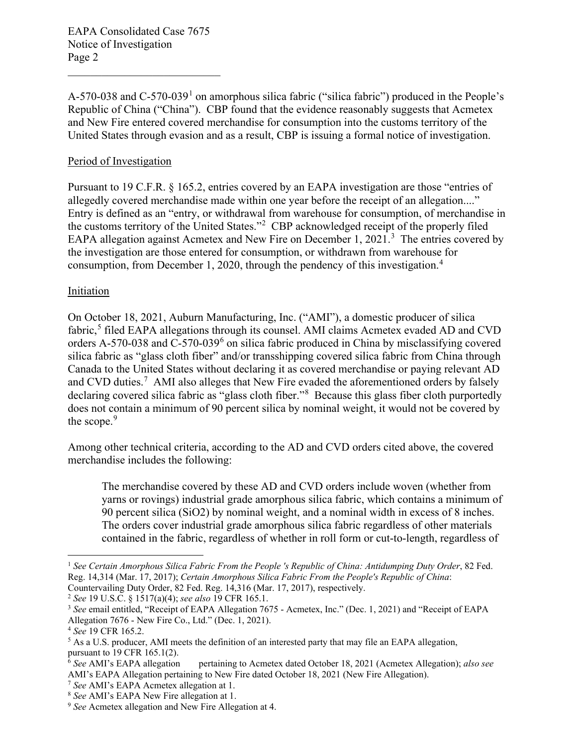A-570-038 and C-570-039<sup>1</sup> on amorphous silica fabric ("silica fabric") produced in the People's Republic of China ("China"). CBP found that the evidence reasonably suggests that Acmetex and New Fire entered covered merchandise for consumption into the customs territory of the United States through evasion and as a result, CBP is issuing a formal notice of investigation.

#### Period of Investigation

 Pursuant to 19 C.F.R. § 165.2, entries covered by an EAPA investigation are those "entries of allegedly covered merchandise made within one year before the receipt of an allegation...." Entry is defined as an "entry, or withdrawal from warehouse for consumption, of merchandise in the customs territory of the United States."<sup>2</sup> CBP acknowledged receipt of the properly filed EAPA allegation against Acmetex and New Fire on December 1, 2021.<sup>3</sup> The entries covered by the investigation are those entered for consumption, or withdrawn from warehouse for consumption, from December 1, 2020, through the pendency of this investigation.<sup>4</sup>

#### Initiation

 Canada to the United States without declaring it as covered merchandise or paying relevant AD and CVD duties.<sup>7</sup> AMI also alleges that New Fire evaded the aforementioned orders by falsely declaring covered silica fabric as "glass cloth fiber."<sup>8</sup> Because this glass fiber cloth purportedly On October 18, 2021, Auburn Manufacturing, Inc. ("AMI"), a domestic producer of silica fabric,<sup>5</sup> filed EAPA allegations through its counsel. AMI claims Acmetex evaded AD and CVD orders A-570-038 and C-570-039<sup>6</sup> on silica fabric produced in China by misclassifying covered silica fabric as "glass cloth fiber" and/or transshipping covered silica fabric from China through does not contain a minimum of 90 percent silica by nominal weight, it would not be covered by the scope. $9$ 

Among other technical criteria, according to the AD and CVD orders cited above, the covered merchandise includes the following:

 The merchandise covered by these AD and CVD orders include woven (whether from 90 percent silica (SiO2) by nominal weight, and a nominal width in excess of 8 inches. yarns or rovings) industrial grade amorphous silica fabric, which contains a minimum of The orders cover industrial grade amorphous silica fabric regardless of other materials contained in the fabric, regardless of whether in roll form or cut-to-length, regardless of

<sup>2</sup> See 19 U.S.C. § 1517(a)(4); see also 19 CFR 165.1.

 <sup>1</sup>*See Certain Amorphous Silica Fabric From the People 's Republic of China: Antidumping Duty Order*, 82 Fed. Reg. 14,314 (Mar. 17, 2017); *Certain Amorphous Silica Fabric From the People's Republic of China*: Countervailing Duty Order, 82 Fed. Reg. 14,316 (Mar. 17, 2017), respectively.

<sup>&</sup>lt;sup>2</sup> See 19 U.S.C. § 1517(a)(4); *see also* 19 CFR 165.1.<br><sup>3</sup> See email entitled, "Receipt of EAPA Allegation 7675 - Acmetex, Inc." (Dec. 1, 2021) and "Receipt of EAPA Allegation 7676 - New Fire Co., Ltd." (Dec. 1, 2021).

<sup>&</sup>lt;sup>4</sup> See 19 CFR 165.2.

Allegation 7676 - New Fire Co., Ltd." (Dec. 1, 2021).<br><sup>4</sup> *See* 19 CFR 165.2.<br><sup>5</sup> As a U.S. producer, AMI meets the definition of an interested party that may file an EAPA allegation, pursuant to 19 CFR 165.1(2).

 $\frac{6}{6}$  See AMI's EAPA allegation AMI's EAPA Allegation pertaining to New Fire dated October 18, 2021 (New Fire Allegation).<br><sup>7</sup> See AMI's EAPA Acmetex allegation at 1.<br><sup>8</sup> See AMI's EAPA New Fire allegation at 1.<br><sup>9</sup> See Acmetex allegation and New Fire Al pertaining to Acmetex dated October 18, 2021 (Acmetex Allegation); *also see* 

<sup>&</sup>lt;sup>7</sup> See AMI's EAPA Acmetex allegation at 1.

<sup>&</sup>lt;sup>8</sup> See AMI's EAPA New Fire allegation at 1.

<sup>&</sup>lt;sup>9</sup> See Acmetex allegation and New Fire Allegation at 4.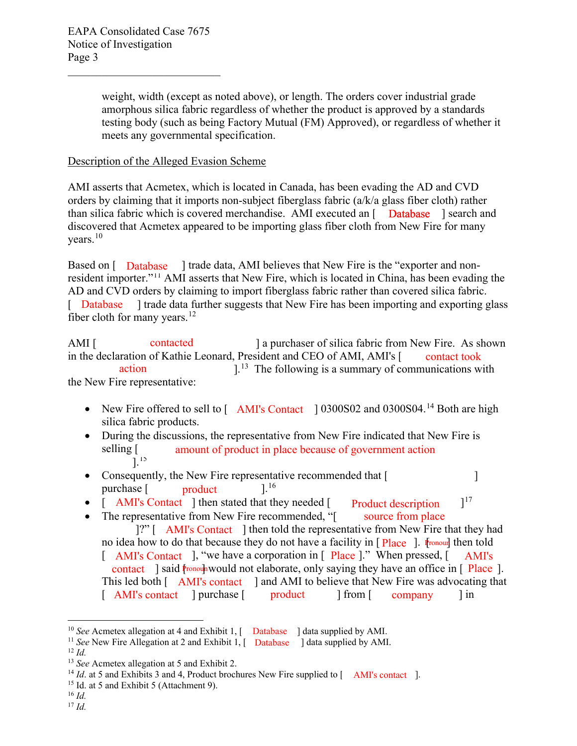weight, width (except as noted above), or length. The orders cover industrial grade amorphous silica fabric regardless of whether the product is approved by a standards testing body (such as being Factory Mutual (FM) Approved), or regardless of whether it meets any governmental specification.

## Description of the Alleged Evasion Scheme

AMI asserts that Acmetex, which is located in Canada, has been evading the AD and CVD orders by claiming that it imports non-subject fiberglass fabric (a/k/a glass fiber cloth) rather than silica fabric which is covered merchandise. AMI executed an [ Database ] search and discovered that Acmetex appeared to be importing glass fiber cloth from New Fire for many [years.](https://years.10) $10$ 

Based on [ Database ] trade data, AMI believes that New Fire is the "exporter and nonresident importer."<sup>11</sup> AMI asserts that New Fire, which is located in China, has been evading the AD and CVD orders by claiming to import fiberglass fabric rather than covered silica fabric. ] trade data further suggests that New Fire has been importing and exporting glass fiber cloth for many years. $12$ [ Database

in the declaration of Kathie Leonard, President and CEO of AMI, AMI's [  $]$ .<sup>13</sup> The following is a summary of communications with AMI [ contacted ] a purchaser of silica fabric from New Fire. As shown contact took action the New Fire representative:

- New Fire offered to sell to  $[$  AMI's Contact  $] 0300S02$  and  $0300S04.<sup>14</sup>$  $0300S04.<sup>14</sup>$  Both are high silica fabric products.
- During the discussions, the representative from New Fire indicated that New Fire is selling [  $]^{15}$ amount of product in place because of government action
- Consequently, the New Fire representative recommended that [  $]^{16}$ purchase [ product
- $]^{17}$ • [ AMI's Contact ] then stated that they needed [ Product description
- contact ] said  $\mathfrak{f}$  ronoun would not elaborate, only saying they have an office in [ Place ]. [ AMI's Contact ], "we have a corporation in [ Place ]." When pressed, [ AMI's • The representative from New Fire recommended, "[ source from place ]?" [ AMI's Contact ] then told the representative from New Fire that they had no idea how to do that because they do not have a facility in [Place ]. Ir ronourl then told This led both [ AMI's contact ] and AMI to believe that New Fire was advocating that [ AMI's contact ] purchase [ product ] from [ company ] in

<sup>10</sup>*See* Acmetex allegation at 4 and Exhibit 1, [ Database

<sup>[</sup>  Database <sup>10</sup> *See* Acmetex allegation at 4 and Exhibit 1, [ Database ] data supplied by AMI.<br><sup>11</sup> *See* New Fire Allegation at 2 and Exhibit 1, [ Database ] data supplied by AMI.<br><sup>12</sup> *Id.* 

 $^{12}$  *Id.* 

<sup>&</sup>lt;sup>13</sup> See Acmetex allegation at 5 and Exhibit 2.

<sup>&</sup>lt;sup>13</sup> *See* Acmetex allegation at 5 and Exhibit 2.<br><sup>14</sup> *Id*. at 5 and Exhibits 3 and 4, Product brochures New Fire supplied to [ <sup>15</sup> Id. at 5 and Exhibit 5 (Attachment 9). <sup>16</sup> *Id.* AMI's contact ].

<sup>&</sup>lt;sup>15</sup> Id. at 5 and Exhibit 5 (Attachment 9).

 $16$  Id.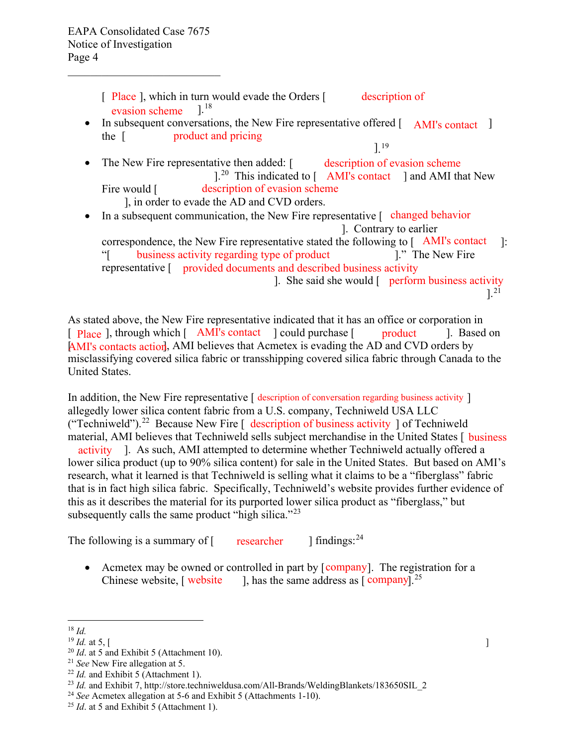[ Place ], which in turn would evade the Orders [ description of ].<sup>18</sup> evasion scheme

- the [ • In subsequent conversations, the New Fire representative offered [ AMI's contact ] product and pricing
- The New Fire representative then added: [ description of evasion scheme  $]$ .<sup>20</sup> This indicated to  $[$  AMI's contact ] and AMI that New ]. 19 Fire would [ ], in order to evade the AD and CVD orders. description of evasion scheme
- In a subsequent communication, the New Fire representative [ changed behavior ]. Contrary to earlier correspondence, the New Fire representative stated the following to  $[$  AMI's contact  $]$ :
	- 1." The New Fire "[ business activity regarding type of product [1." The New Fire representative [ provided documents and described business activity ]. She said she would [ perform business activity ].<sup>21</sup>

As stated above, the New Fire representative indicated that it has an office or corporation in [ Place ], through which [ AMI's contact ] could purchase [ product ]. Based on AMI's contacts action, AMI believes that Acmetex is evading the AD and CVD orders by misclassifying covered silica fabric or transshipping covered silica fabric through Canada to the United States.

(["Techniweld"\).](https://Techniweld�).22)<sup>22</sup> Because New Fire  $\left[\right]$  description of business activity  $\left]$  of Techniweld activity ]. As such, AMI attempted to determine whether Techniweld actually offered a lower silica product (up to 90% silica content) for sale in the United States. But based on AMI's research, what it learned is that Techniweld is selling what it claims to be a "fiberglass" fabric that is in fact high silica fabric. Specifically, Techniweld's website provides further evidence of In addition, the New Fire representative [ description of conversation regarding business activity ] allegedly lower silica content fabric from a U.S. company, Techniweld USA LLC material, AMI believes that Techniweld sells subject merchandise in the United States [ business this as it describes the material for its purported lower silica product as "fiberglass," but subsequently calls the same product "high silica."<sup>23</sup>

The following is a summary of  $\int$  researcher  $\int$  findings:<sup>24</sup>

Chinese website, [ website  $\qquad$  ], has the same address as [ company].<sup>25</sup> • Acmetex may be owned or controlled in part by [company]. The registration for a

 18 *Id.* 

 $^{19}$  *Id.* at 5. [

<sup>&</sup>lt;sup>20</sup> Id. at 5 and Exhibit 5 (Attachment 10).

<sup>&</sup>lt;sup>21</sup> See New Fire allegation at 5.

 $^{22}$  *Id.* and Exhibit 5 (Attachment 1).

<sup>&</sup>lt;sup>19</sup> *Id.* at 5, [<br>
<sup>20</sup> *Id.* at 5 and Exhibit 5 (Attachment 10).<br>
<sup>21</sup> *See* New Fire allegation at 5.<br>
<sup>22</sup> *Id.* and Exhibit 5 (Attachment 1).<br>
<sup>23</sup> *Id.* and Exhibit 7, http://store.techniweldusa.com/All-Brands/Weldi

<sup>&</sup>lt;sup>24</sup> See Acmetex allegation at 5-6 and Exhibit 5 (Attachments 1-10).

<sup>&</sup>lt;sup>25</sup> Id. at 5 and Exhibit 5 (Attachment 1).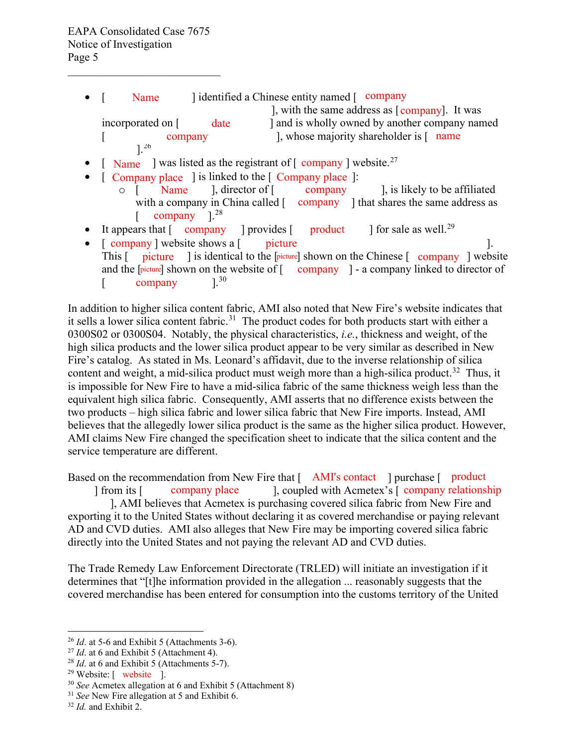- $\bullet$  [ ], with the same address as [company]. It was [  $\ldots$  company  $\ldots$  ], whose majority shareholder is  $\ldots$  name  $]^{26}$ Name Jidentified a Chinese entity named [ company incorporated on [ date ] and is wholly owned by another company named
- [ Name ] was listed as the registrant of  $[$  company ] [website.](https://website.27)<sup>27</sup>
- $[$  Company place  $]$  is linked to the  $[$  Company place  $]$ :
	- $[$  company  $]^{28}$  $\circ$  [ Name ], director of [ company ], is likely to be affiliated with a company in China called [ company ] that shares the same address as ], director of  $\lceil$
- It appears that  $[$  company ] provides  $[$  product ] for sale as well.<sup>29</sup>
- This [ picture ] is identical to the [picture] shown on the Chinese [ company ] website •  $[$  company  $]$  website shows a  $[$   $]$  picture  $]$ . and the [picture] shown on the website of [ company ] - a company linked to director of [ company  $1^{30}$

 high silica products and the lower silica product appear to be very similar as described in New two products – high silica fabric and lower silica fabric that New Fire imports. Instead, AMI believes that the allegedly lower silica product is the same as the higher silica product. However, In addition to higher silica content fabric, AMI also noted that New Fire's website indicates that it sells a lower silica content [fabric.](https://fabric.31)<sup>31</sup> The product codes for both products start with either a 0300S02 or 0300S04. Notably, the physical characteristics, *i.e.*, thickness and weight, of the Fire's catalog. As stated in Ms. Leonard's affidavit, due to the inverse relationship of silica content and weight, a mid-silica product must weigh more than a high-silica [product.](https://product.32)<sup>32</sup> Thus, it is impossible for New Fire to have a mid-silica fabric of the same thickness weigh less than the equivalent high silica fabric. Consequently, AMI asserts that no difference exists between the AMI claims New Fire changed the specification sheet to indicate that the silica content and the service temperature are different.

Based on the recommendation from New Fire that [ AMI's contact ] purchase [ product ] from its [ ], coupled with Acmetex's [ company place company relationship ], AMI believes that Acmetex is purchasing covered silica fabric from New Fire and directly into the United States and not paying the relevant AD and CVD duties. exporting it to the United States without declaring it as covered merchandise or paying relevant AD and CVD duties. AMI also alleges that New Fire may be importing covered silica fabric

 determines that "[t]he information provided in the allegation ... reasonably suggests that the covered merchandise has been entered for consumption into the customs territory of the United The Trade Remedy Law Enforcement Directorate (TRLED) will initiate an investigation if it

 $^{26}$  *Id.* at 5-6 and Exhibit 5 (Attachments 3-6). <sup>26</sup>*Id*. at 5-6 and Exhibit 5 (Attachments 3-6). 27 *Id*. at 6 and Exhibit 5 (Attachment 4). 28 *Id*. at 6 and Exhibit 5 (Attachments 5-7).

<sup>&</sup>lt;sup>27</sup> Id. at 6 and Exhibit 5 (Attachment 4).

<sup>&</sup>lt;sup>29</sup> Website: [ website ].<br><sup>30</sup> *See* Acmetex allegation at 6 and Exhibit 5 (Attachment 8) <sup>31</sup> *See* New Fire allegation at 5 and Exhibit 6. <sup>32</sup> *Id.* and Exhibit 2.

 $31$  See New Fire allegation at 5 and Exhibit 6.

 $32$  *Id.* and Exhibit 2.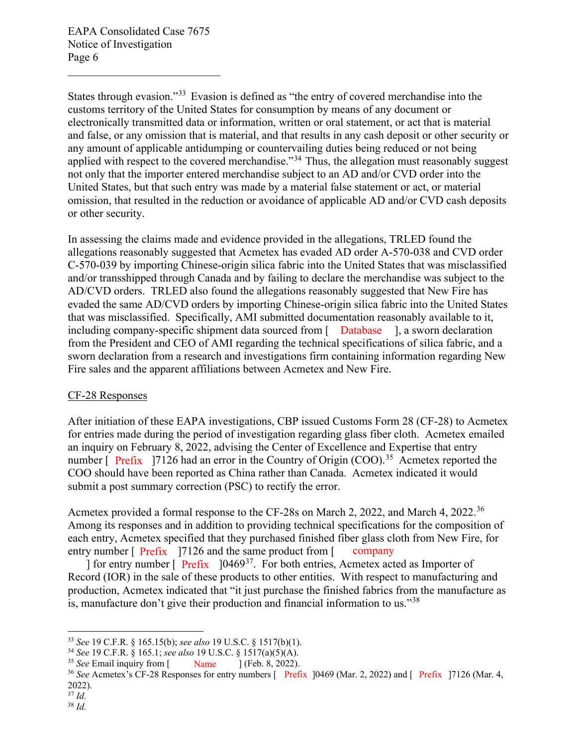States through evasion."<sup>33</sup> Evasion is defined as "the entry of covered merchandise into the applied with respect to the covered merchandise."<sup>34</sup> Thus, the allegation must reasonably suggest customs territory of the United States for consumption by means of any document or electronically transmitted data or information, written or oral statement, or act that is material and false, or any omission that is material, and that results in any cash deposit or other security or any amount of applicable antidumping or countervailing duties being reduced or not being not only that the importer entered merchandise subject to an AD and/or CVD order into the United States, but that such entry was made by a material false statement or act, or material omission, that resulted in the reduction or avoidance of applicable AD and/or CVD cash deposits or other security.

 allegations reasonably suggested that Acmetex has evaded AD order A-570-038 and CVD order C-570-039 by importing Chinese-origin silica fabric into the United States that was misclassified from the President and CEO of AMI regarding the technical specifications of silica fabric, and a In assessing the claims made and evidence provided in the allegations, TRLED found the and/or transshipped through Canada and by failing to declare the merchandise was subject to the AD/CVD orders. TRLED also found the allegations reasonably suggested that New Fire has evaded the same AD/CVD orders by importing Chinese-origin silica fabric into the United States that was misclassified. Specifically, AMI submitted documentation reasonably available to it, including company-specific shipment data sourced from [ Database ], a sworn declaration sworn declaration from a research and investigations firm containing information regarding New Fire sales and the apparent affiliations between Acmetex and New Fire.

### CF-28 Responses

number  $[$  Prefix ]7126 had an error in the Country of Origin (COO).<sup>35</sup> Acmetex reported the COO should have been reported as China rather than Canada. Acmetex indicated it would After initiation of these EAPA investigations, CBP issued Customs Form 28 (CF-28) to Acmetex for entries made during the period of investigation regarding glass fiber cloth. Acmetex emailed an inquiry on February 8, 2022, advising the Center of Excellence and Expertise that entry submit a post summary correction (PSC) to rectify the error.

entry number [ Prefix ]7126 and the same product from [ company Acmetex provided a formal response to the CF-28s on March 2, 2022, and March 4, 2022.<sup>36</sup> Among its responses and in addition to providing technical specifications for the composition of each entry, Acmetex specified that they purchased finished fiber glass cloth from New Fire, for

] for entry number [ Prefix ]0469<sup>37</sup>. For both entries, Acmetex acted as Importer of production, Acmetex indicated that "it just purchase the finished fabrics from the manufacture as Record (IOR) in the sale of these products to other entities. With respect to manufacturing and is, manufacture don't give their production and financial information to us."<sup>38</sup>

<sup>&</sup>lt;sup>33</sup> See 19 C.F.R. § 165.15(b); see also 19 U.S.C. § 1517(b)(1).

 <sup>33</sup>*See* 19 C.F.R. § 165.15(b); *see also* 19 U.S.C. § 1517(b)(1). 34 *See* 19 C.F.R. § 165.1; *see also*  19 U.S.C. § 1517(a)(5)(A).

See Email inquiry from [ Name

<sup>&</sup>lt;sup>35</sup> See Email inquiry from [ Name ] (Feb. 8, 2022).<br><sup>36</sup> See Acmetex's CF-28 Responses for entry numbers [ Prefix ]0469 (Mar. 2, 2022) and [ Prefix ]7126 (Mar. 4,  $2022$ ). 2022). 37 *Id.*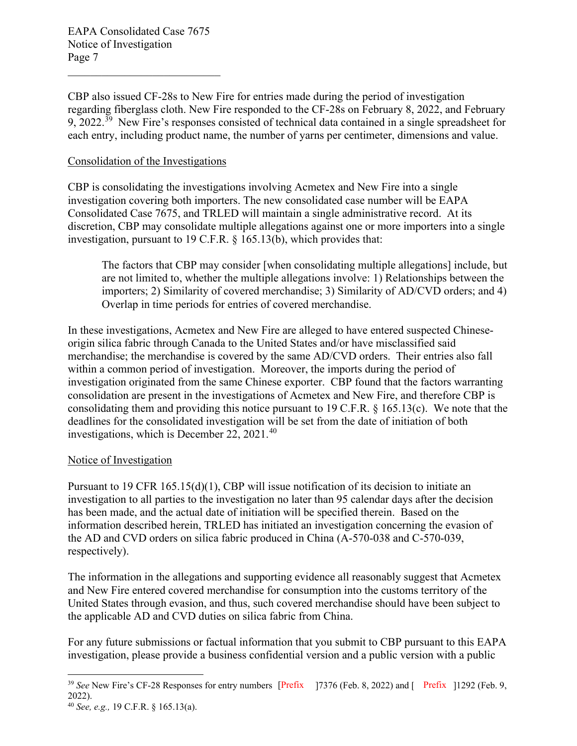9, 2022.<sup>39</sup> New Fire's responses consisted of technical data contained in a single spreadsheet for each entry, including product name, the number of yarns per centimeter, dimensions and value. CBP also issued CF-28s to New Fire for entries made during the period of investigation regarding fiberglass cloth. New Fire responded to the CF-28s on February 8, 2022, and February

## Consolidation of the Investigations

investigation, pursuant to 19 C.F.R. § 165.13(b), which provides that: CBP is consolidating the investigations involving Acmetex and New Fire into a single investigation covering both importers. The new consolidated case number will be EAPA Consolidated Case 7675, and TRLED will maintain a single administrative record. At its discretion, CBP may consolidate multiple allegations against one or more importers into a single

 importers; 2) Similarity of covered merchandise; 3) Similarity of AD/CVD orders; and 4) The factors that CBP may consider [when consolidating multiple allegations] include, but are not limited to, whether the multiple allegations involve: 1) Relationships between the Overlap in time periods for entries of covered merchandise.

 investigation originated from the same Chinese exporter. CBP found that the factors warranting In these investigations, Acmetex and New Fire are alleged to have entered suspected Chineseorigin silica fabric through Canada to the United States and/or have misclassified said merchandise; the merchandise is covered by the same AD/CVD orders. Their entries also fall within a common period of investigation. Moreover, the imports during the period of consolidation are present in the investigations of Acmetex and New Fire, and therefore CBP is consolidating them and providing this notice pursuant to 19 C.F.R. § 165.13(c). We note that the deadlines for the consolidated investigation will be set from the date of initiation of both investigations, which is December 22, 2021.<sup>40</sup>

# Notice of Investigation

Pursuant to 19 CFR 165.15(d)(1), CBP will issue notification of its decision to initiate an investigation to all parties to the investigation no later than 95 calendar days after the decision has been made, and the actual date of initiation will be specified therein. Based on the information described herein, TRLED has initiated an investigation concerning the evasion of the AD and CVD orders on silica fabric produced in China (A-570-038 and C-570-039, respectively).

 The information in the allegations and supporting evidence all reasonably suggest that Acmetex and New Fire entered covered merchandise for consumption into the customs territory of the United States through evasion, and thus, such covered merchandise should have been subject to the applicable AD and CVD duties on silica fabric from China.

 For any future submissions or factual information that you submit to CBP pursuant to this EAPA investigation, please provide a business confidential version and a public version with a public

 <sup>39</sup>*See* New Fire's CF-28 Responses for entry numbers [Prefix ]7376 (Feb. 8, 2022) and [ Prefix ]1292 (Feb. 9,  $2022$ ).  2022). 40 *See, e.g.,* 19 C.F.R. § 165.13(a).